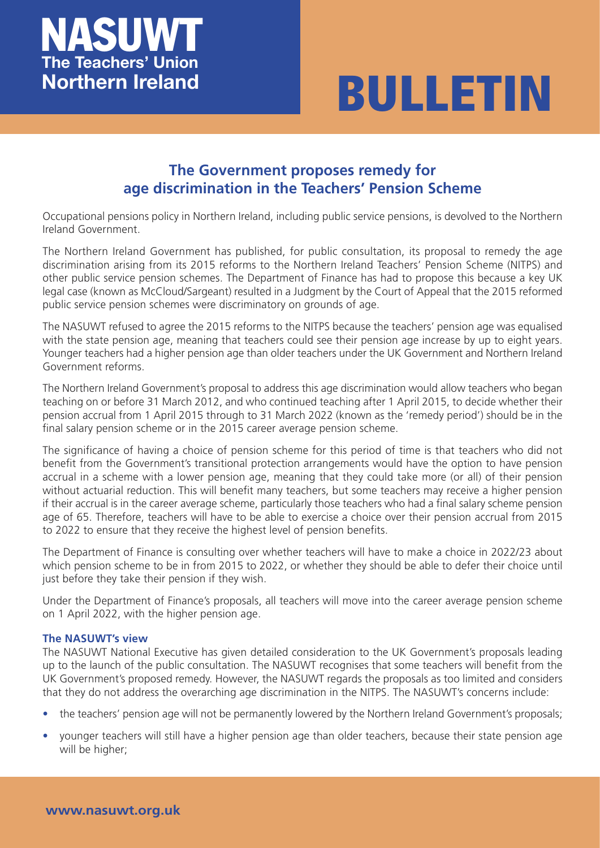



## **The Government proposes remedy for age discrimination in the Teachers' Pension Scheme**

Occupational pensions policy in Northern Ireland, including public service pensions, is devolved to the Northern Ireland Government.

The Northern Ireland Government has published, for public consultation, its proposal to remedy the age discrimination arising from its 2015 reforms to the Northern Ireland Teachers' Pension Scheme (NITPS) and other public service pension schemes. The Department of Finance has had to propose this because a key UK legal case (known as McCloud/Sargeant) resulted in a Judgment by the Court of Appeal that the 2015 reformed public service pension schemes were discriminatory on grounds of age.

The NASUWT refused to agree the 2015 reforms to the NITPS because the teachers' pension age was equalised with the state pension age, meaning that teachers could see their pension age increase by up to eight years. Younger teachers had a higher pension age than older teachers under the UK Government and Northern Ireland Government reforms.

The Northern Ireland Government's proposal to address this age discrimination would allow teachers who began teaching on or before 31 March 2012, and who continued teaching after 1 April 2015, to decide whether their pension accrual from 1 April 2015 through to 31 March 2022 (known as the 'remedy period') should be in the final salary pension scheme or in the 2015 career average pension scheme.

The significance of having a choice of pension scheme for this period of time is that teachers who did not benefit from the Government's transitional protection arrangements would have the option to have pension accrual in a scheme with a lower pension age, meaning that they could take more (or all) of their pension without actuarial reduction. This will benefit many teachers, but some teachers may receive a higher pension if their accrual is in the career average scheme, particularly those teachers who had a final salary scheme pension age of 65. Therefore, teachers will have to be able to exercise a choice over their pension accrual from 2015 to 2022 to ensure that they receive the highest level of pension benefits.

The Department of Finance is consulting over whether teachers will have to make a choice in 2022/23 about which pension scheme to be in from 2015 to 2022, or whether they should be able to defer their choice until just before they take their pension if they wish.

Under the Department of Finance's proposals, all teachers will move into the career average pension scheme on 1 April 2022, with the higher pension age.

## **The NASUWT's view**

The NASUWT National Executive has given detailed consideration to the UK Government's proposals leading up to the launch of the public consultation. The NASUWT recognises that some teachers will benefit from the UK Government's proposed remedy. However, the NASUWT regards the proposals as too limited and considers that they do not address the overarching age discrimination in the NITPS. The NASUWT's concerns include:

- the teachers' pension age will not be permanently lowered by the Northern Ireland Government's proposals;
- younger teachers will still have a higher pension age than older teachers, because their state pension age will be higher;